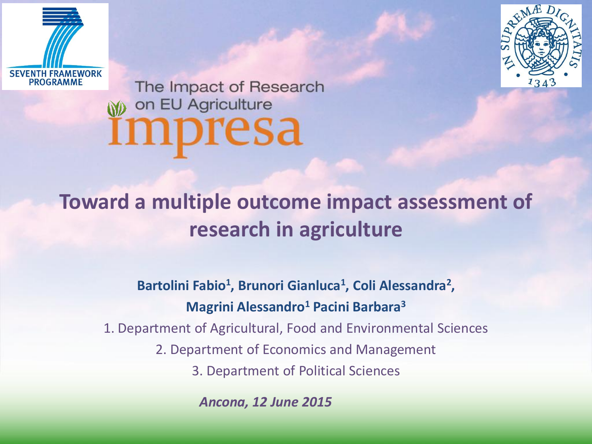



The Impact of Research on EU Agriculture impresa

#### **Toward a multiple outcome impact assessment of research in agriculture**

Bartolini Fabio<sup>1</sup>, Brunori Gianluca<sup>1</sup>, Coli Alessandra<sup>2</sup>, **Magrini Alessandro<sup>1</sup> Pacini Barbara<sup>3</sup>**

1. Department of Agricultural, Food and Environmental Sciences

2. Department of Economics and Management

3. Department of Political Sciences

*Ancona, 12 June 2015*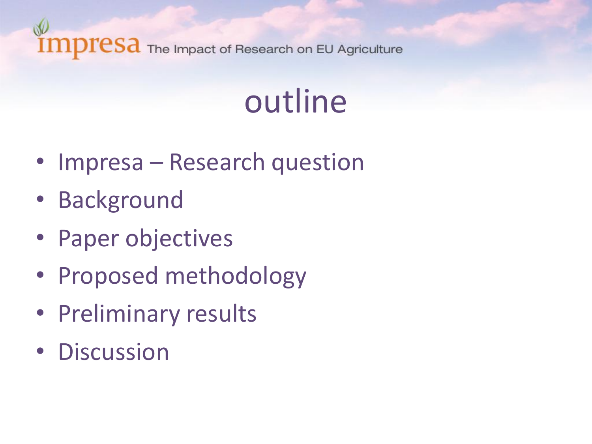## outline

- Impresa Research question
- Background
- Paper objectives
- Proposed methodology
- Preliminary results
- Discussion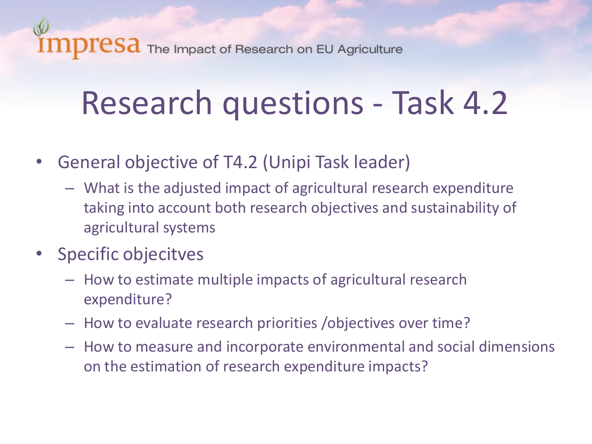# Research questions - Task 4.2

- General objective of T4.2 (Unipi Task leader)
	- What is the adjusted impact of agricultural research expenditure taking into account both research objectives and sustainability of agricultural systems
- Specific objecitves
	- How to estimate multiple impacts of agricultural research expenditure?
	- How to evaluate research priorities /objectives over time?
	- How to measure and incorporate environmental and social dimensions on the estimation of research expenditure impacts?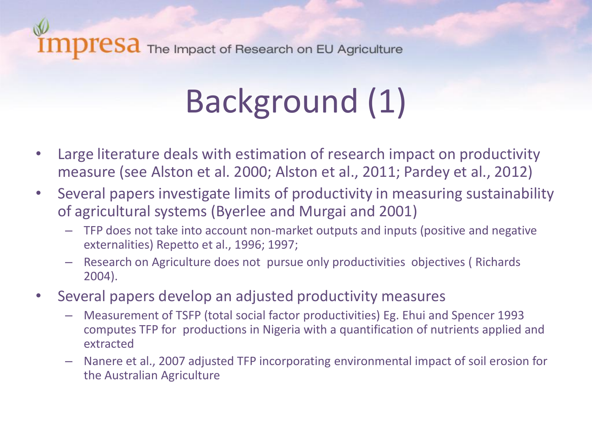#### ${\rm TCSa}$  The Impact of Research on EU Agriculture

# Background (1)

- Large literature deals with estimation of research impact on productivity measure (see Alston et al. 2000; Alston et al., 2011; Pardey et al., 2012)
- Several papers investigate limits of productivity in measuring sustainability of agricultural systems (Byerlee and Murgai and 2001)
	- TFP does not take into account non-market outputs and inputs (positive and negative externalities) Repetto et al., 1996; 1997;
	- Research on Agriculture does not pursue only productivities objectives ( Richards 2004).
- Several papers develop an adjusted productivity measures
	- Measurement of TSFP (total social factor productivities) Eg. Ehui and Spencer 1993 computes TFP for productions in Nigeria with a quantification of nutrients applied and extracted
	- Nanere et al., 2007 adjusted TFP incorporating environmental impact of soil erosion for the Australian Agriculture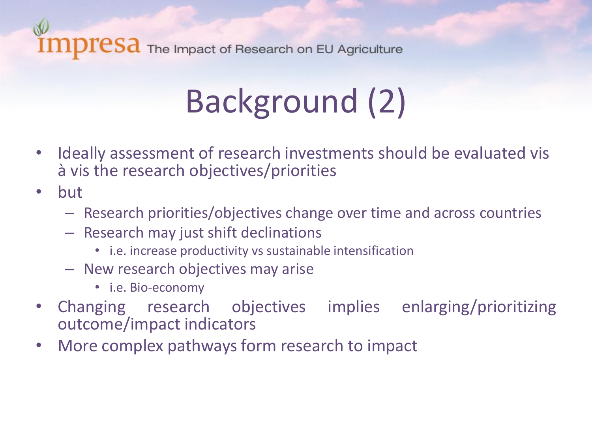#### ${\rm TCSa}$  The Impact of Research on EU Agriculture

# Background (2)

- Ideally assessment of research investments should be evaluated vis à vis the research objectives/priorities
- but
	- Research priorities/objectives change over time and across countries
	- Research may just shift declinations
		- i.e. increase productivity vs sustainable intensification
	- New research objectives may arise
		- i.e. Bio-economy
- Changing research objectives implies enlarging/prioritizing outcome/impact indicators
- More complex pathways form research to impact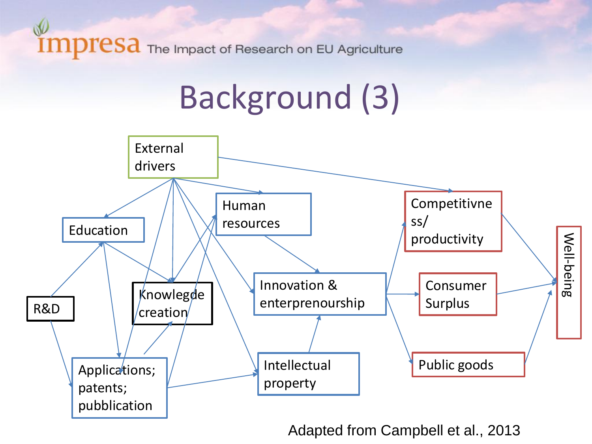# Background (3)



Adapted from Campbell et al., 2013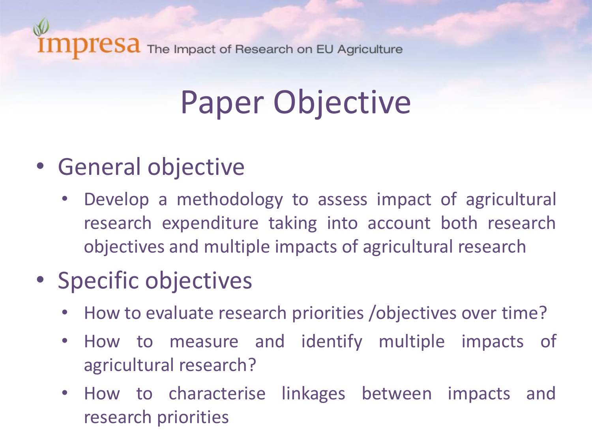# Paper Objective

- General objective
	- Develop a methodology to assess impact of agricultural research expenditure taking into account both research objectives and multiple impacts of agricultural research

#### • Specific objectives

- How to evaluate research priorities /objectives over time?
- How to measure and identify multiple impacts of agricultural research?
- How to characterise linkages between impacts and research priorities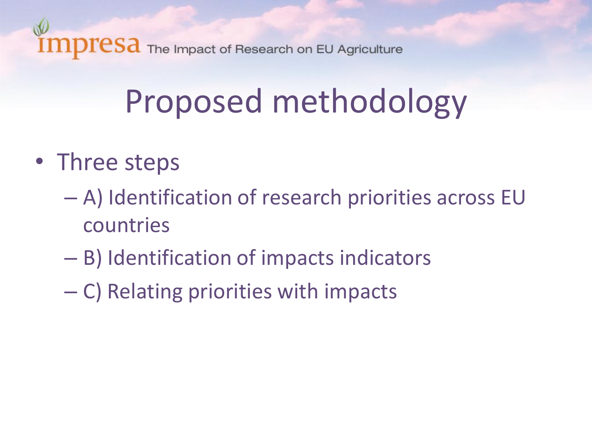

# Proposed methodology

- Three steps
	- A) Identification of research priorities across EU countries
	- B) Identification of impacts indicators
	- C) Relating priorities with impacts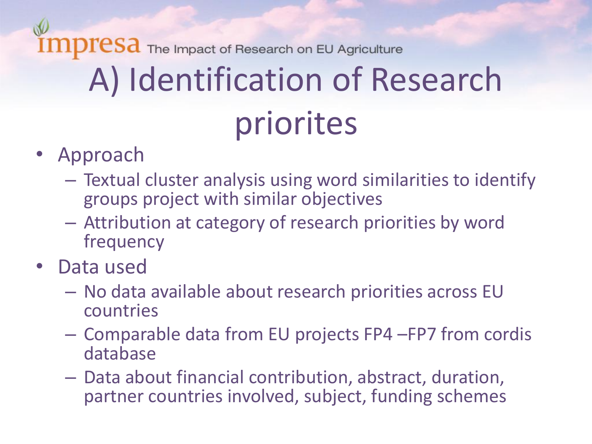$\mathbf{resa}$  The Impact of Research on EU Agriculture A) Identification of Research priorites

- Approach
	- Textual cluster analysis using word similarities to identify groups project with similar objectives
	- Attribution at category of research priorities by word frequency
- Data used
	- No data available about research priorities across EU countries
	- Comparable data from EU projects FP4 –FP7 from cordis database
	- Data about financial contribution, abstract, duration, partner countries involved, subject, funding schemes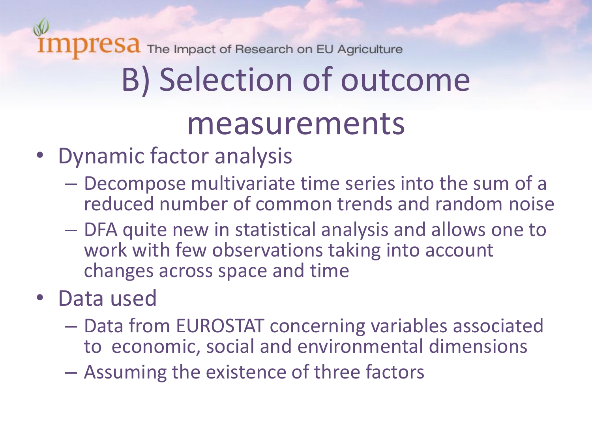# B) Selection of outcome

#### measurements

- Dynamic factor analysis
	- Decompose multivariate time series into the sum of a reduced number of common trends and random noise
	- DFA quite new in statistical analysis and allows one to work with few observations taking into account changes across space and time
- Data used
	- Data from EUROSTAT concerning variables associated to economic, social and environmental dimensions
	- Assuming the existence of three factors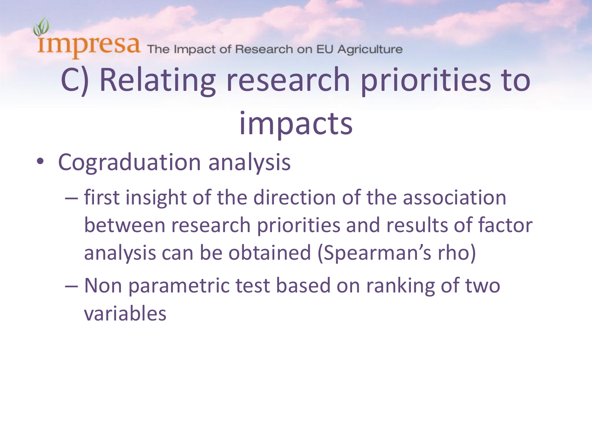# $resa$  The Impact of Research on EU Agriculture C) Relating research priorities to impacts

- Cograduation analysis
	- first insight of the direction of the association between research priorities and results of factor analysis can be obtained (Spearman's rho)
	- Non parametric test based on ranking of two variables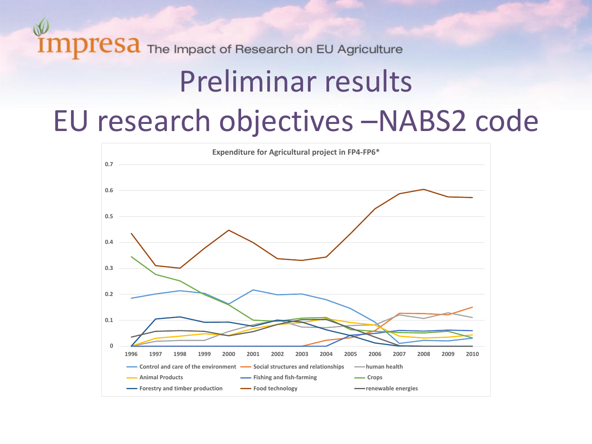## Preliminar results EU research objectives –NABS2 code

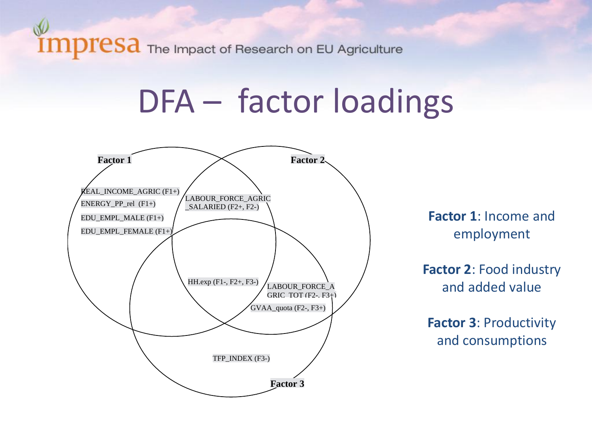## DFA – factor loadings

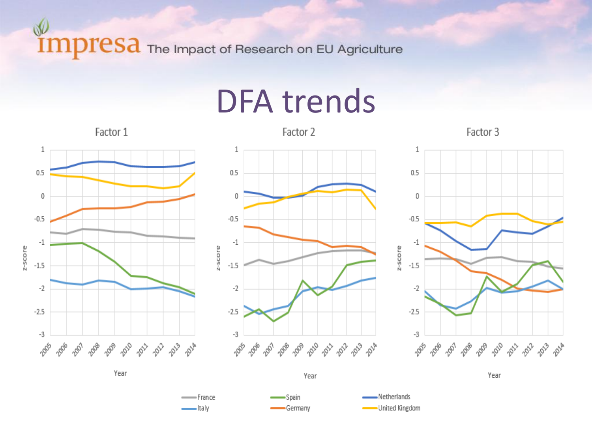W

DFA trends

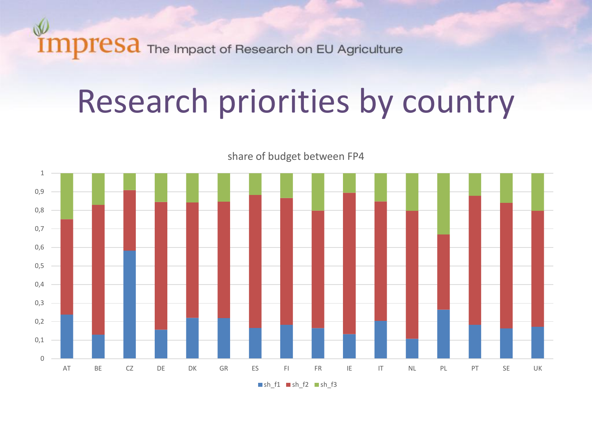

## Research priorities by country



share of budget between FP4

 $\blacksquare$ sh\_f1  $\blacksquare$ sh\_f2  $\blacksquare$ sh\_f3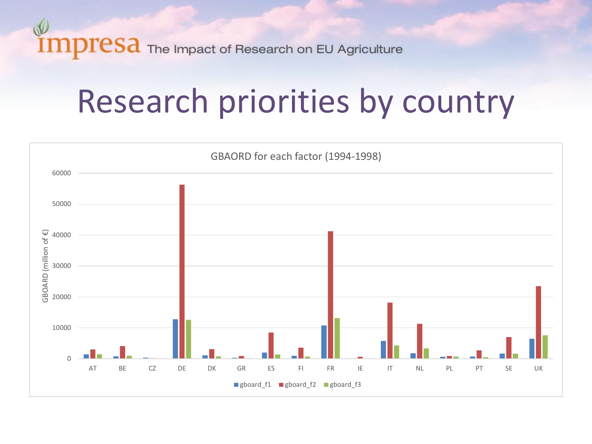

## Research priorities by country

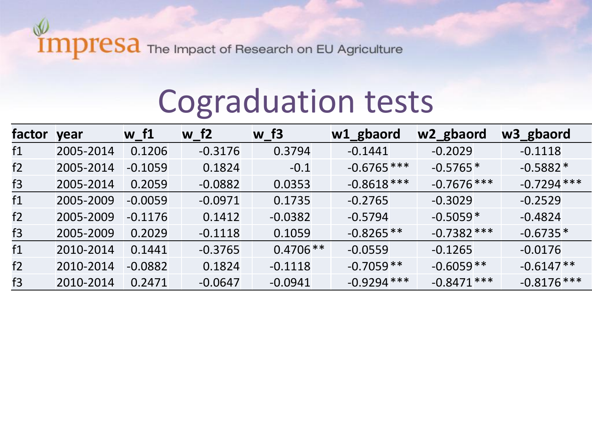## Cograduation tests

| factor year |           | w <sub>f1</sub> | w f2      | w <sub>f3</sub> | w1_gbaord     | w2_gbaord     | w3_gbaord     |
|-------------|-----------|-----------------|-----------|-----------------|---------------|---------------|---------------|
| f1          | 2005-2014 | 0.1206          | $-0.3176$ | 0.3794          | $-0.1441$     | $-0.2029$     | $-0.1118$     |
| f2          | 2005-2014 | $-0.1059$       | 0.1824    | $-0.1$          | $-0.6765$ *** | $-0.5765*$    | $-0.5882*$    |
| f3          | 2005-2014 | 0.2059          | $-0.0882$ | 0.0353          | $-0.8618***$  | $-0.7676$ *** | $-0.7294$ *** |
| f1          | 2005-2009 | $-0.0059$       | $-0.0971$ | 0.1735          | $-0.2765$     | $-0.3029$     | $-0.2529$     |
| f2          | 2005-2009 | $-0.1176$       | 0.1412    | $-0.0382$       | $-0.5794$     | $-0.5059*$    | $-0.4824$     |
| f3          | 2005-2009 | 0.2029          | $-0.1118$ | 0.1059          | $-0.8265**$   | $-0.7382$ *** | $-0.6735*$    |
| f1          | 2010-2014 | 0.1441          | $-0.3765$ | $0.4706**$      | $-0.0559$     | $-0.1265$     | $-0.0176$     |
| f2          | 2010-2014 | $-0.0882$       | 0.1824    | $-0.1118$       | $-0.7059**$   | $-0.6059**$   | $-0.6147**$   |
| f3          | 2010-2014 | 0.2471          | $-0.0647$ | $-0.0941$       | $-0.9294$ *** | $-0.8471$ *** | $-0.8176$ *** |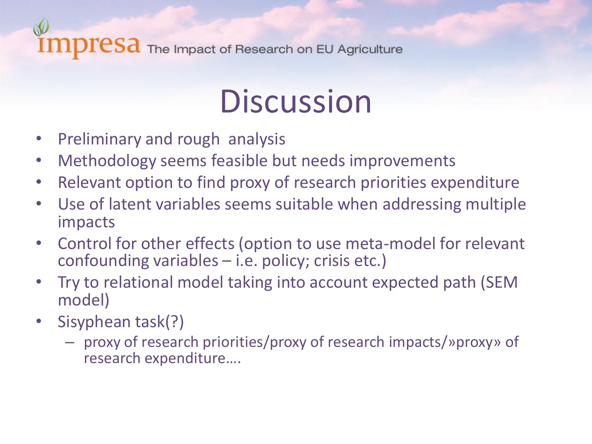## **Discussion**

- Preliminary and rough analysis
- Methodology seems feasible but needs improvements
- Relevant option to find proxy of research priorities expenditure
- Use of latent variables seems suitable when addressing multiple impacts
- Control for other effects (option to use meta-model for relevant confounding variables – i.e. policy; crisis etc.)
- Try to relational model taking into account expected path (SEM model)
- Sisyphean task(?)
	- proxy of research priorities/proxy of research impacts/»proxy» of research expenditure….